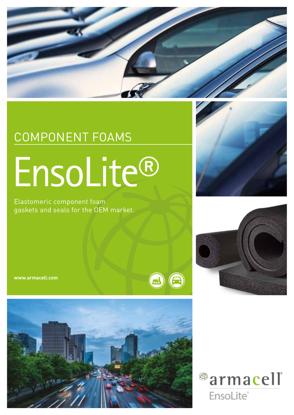

 $\textcircled{\tiny{H}}$ 

## COMPONENT FOAMS EnsoLite®

Elastomeric component foam gaskets and seals for the OEM market.

**www.armacell.com**







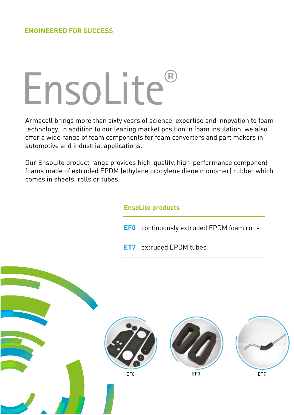# EnsoLite®

Armacell brings more than sixty years of science, expertise and innovation to foam technology. In addition to our leading market position in foam insulation, we also offer a wide range of foam components for foam converters and part makers in automotive and industrial applications.

Our EnsoLite product range provides high-quality, high-performance component foams made of extruded EPDM (ethylene propylene diene monomer) rubber which comes in sheets, rolls or tubes.

#### **EnsoLite products**

- **EF0** continuously extruded EPDM foam rolls
- **ET7** extruded EPDM tubes







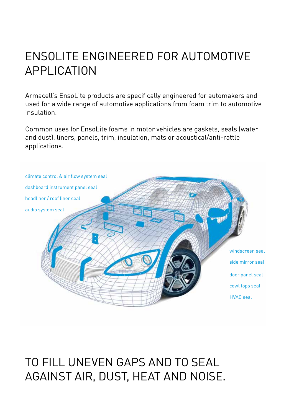#### ENSOLITE ENGINEERED FOR AUTOMOTIVE APPLICATION

Armacell's EnsoLite products are specifically engineered for automakers and used for a wide range of automotive applications from foam trim to automotive insulation.

Common uses for EnsoLite foams in motor vehicles are gaskets, seals (water and dust), liners, panels, trim, insulation, mats or acoustical/anti-rattle applications.



#### TO FILL UNEVEN GAPS AND TO SEAL AGAINST AIR, DUST, HEAT AND NOISE.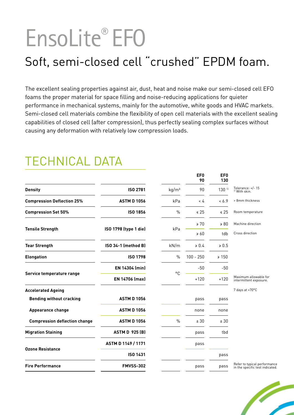## EnsoLite® EF0

### Soft, semi-closed cell "crushed" EPDM foam.

The excellent sealing properties against air, dust, heat and noise make our semi-closed cell EFO foams the proper material for space filling and noise-reducing applications for quieter performance in mechanical systems, mainly for the automotive, white goods and HVAC markets. Semi-closed cell materials combine the flexibility of open cell materials with the excellent sealing capabilities of closed cell (after compression), thus perfectly sealing complex surfaces without causing any deformation with relatively low compression loads.

#### TECHNICAL DATA

|                                      |                            |                   | EF <sub>0</sub><br>90 | EF <sub>0</sub><br>130 |                                                                 |
|--------------------------------------|----------------------------|-------------------|-----------------------|------------------------|-----------------------------------------------------------------|
| <b>Density</b>                       | ISO 2781                   | kg/m <sup>3</sup> | 90                    | 130 <sup>11</sup>      | Tolerance: +/- 15<br><sup>1)</sup> With skin.                   |
| <b>Compression Deflection 25%</b>    | <b>ASTM D 1056</b>         | kPa               | < 4                   | & 6.9                  | > 8mm thickness                                                 |
| <b>Compression Set 50%</b>           | <b>ISO 1856</b>            | $\%$              | $\leq 25$             | $\leq 25$              | Room temperature                                                |
| <b>Tensile Strength</b>              | ISO 1798 (type 1 die)      | kPa               | $\geq 70$             | $\geq 80$              | Machine direction                                               |
|                                      |                            |                   | $\geqslant 60$        | tdb                    | Cross direction                                                 |
| <b>Tear Strength</b>                 | <b>ISO 34-1 (method B)</b> | kN/m              | $\ge 0.4$             | $\ge 0.5$              |                                                                 |
| <b>Elongation</b>                    | <b>ISO 1798</b>            | $\frac{0}{0}$     | $100 - 250$           | $\geq 150$             |                                                                 |
| Service temperature range            | EN 14304 (min)             |                   | $-50$                 | $-50$                  |                                                                 |
|                                      | EN 14706 (max)             | °C                | $+120$                | $+120$                 | Maximum allowable for<br>intermittent exposure.                 |
| <b>Accelerated Ageing</b>            |                            |                   |                       |                        | 7 days at +70°C                                                 |
| <b>Bending without cracking</b>      | <b>ASTM D 1056</b>         |                   | pass                  | pass                   |                                                                 |
| <b>Appearance change</b>             | <b>ASTM D 1056</b>         |                   | none                  | none                   |                                                                 |
| <b>Compression deflection change</b> | <b>ASTM D 1056</b>         | $\frac{0}{0}$     | ± 30                  | ± 30                   |                                                                 |
| <b>Migration Staining</b>            | <b>ASTM D 925 (B)</b>      |                   | pass                  | tbd                    |                                                                 |
| <b>Ozone Resistance</b>              | ASTM D 1149 / 1171         |                   | pass                  |                        |                                                                 |
|                                      | ISO 1431                   |                   |                       | pass                   |                                                                 |
| <b>Fire Performance</b>              | <b>FMVSS-302</b>           |                   | pass                  | pass                   | Refer to typical performance<br>in the specific test indicated. |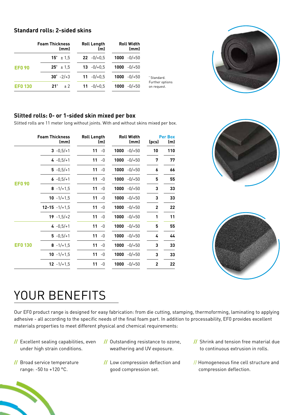#### **Standard rolls: 2-sided skins**

|                | <b>Foam Thickness</b><br>(mm) | <b>Roll Length</b><br>(m) | <b>Roll Width</b><br>(mm) |                                |  |
|----------------|-------------------------------|---------------------------|---------------------------|--------------------------------|--|
|                | $15^* \pm 1.5$                | $22 - 0/0.5$              | $1000 - 0/+50$            |                                |  |
| <b>EF0 90</b>  | $25^* \pm 1.5$                | $13 - 0/10.5$             | $1000 - 0/+50$            |                                |  |
|                | $30^{\circ}$ -2/+3            | 11 $-0/+0.5$              | $1000 - 0/+50$            | Standard.                      |  |
| <b>EF0 130</b> | $21^{\circ}$<br>± 2           | $11 - 0/10.5$             | $1000 - 0/+50$            | Further options<br>on request. |  |



#### **Slitted rolls: 0- or 1-sided skin mixed per box**

Slitted rolls are 11 meter long without joints. With and without skins mixed per box.

|                | <b>Foam Thickness</b><br>(mm) | <b>Roll Length</b><br>(m) | <b>Roll Width</b><br>(mm) | <b>Per Box</b><br>(pcs) | (m) |
|----------------|-------------------------------|---------------------------|---------------------------|-------------------------|-----|
|                |                               |                           |                           |                         |     |
|                | $3 - 0,5/11$                  | 11<br>$-0$                | 1000<br>$-0/+50$          | 10                      | 110 |
| <b>EF090</b>   | $4 - 0.5/ + 1$                | 11<br>$-0$                | 1000<br>-0/+50            | 7                       | 77  |
|                | $5 - 0,5/ + 1$                | 11<br>-0                  | 1000<br>$-0/+50$          | 6                       | 66  |
|                | $6 - 0.5/ + 1$                | $11 - 0$                  | 1000<br>$-0/+50$          | 5                       | 55  |
|                | $8 - 1/ + 1.5$                | 11<br>$-0$                | 1000<br>-0/+50            | 3                       | 33  |
|                | 10 $-1/+1.5$                  | 11<br>$-0$                | $1000 - 0/+50$            | 3                       | 33  |
|                | $12 - 15 - 1/ + 1.5$          | 11<br>$-0$                | 1000<br>$-0/+50$          | $\mathbf{2}$            | 22  |
|                | $19 - 1, 5/ + 2$              | 11<br>$-0$                | 1000<br>$-0/+50$          | 1                       | 11  |
| <b>EF0 130</b> | $4 - 0.5/ + 1$                | $11 - 0$                  | 1000<br>-0/+50            | 5                       | 55  |
|                | $5 - 0.5/ + 1$                | 11<br>-0                  | 1000<br>-0/+50            | 4                       | 44  |
|                | $8 - 1/ + 1.5$                | 11<br>-0                  | 1000<br>$-0/+50$          | 3                       | 33  |
|                | 10 $-1/+1.5$                  | 11<br>$-0$                | 1000<br>-0/+50            | 3                       | 33  |
|                | $12 - 1/ + 1.5$               | 11<br>$-0$                | $1000 - 0/+50$            | $\overline{2}$          | 22  |





### YOUR BENEFITS

Our EF0 product range is designed for easy fabrication: from die cutting, stamping, thermoforming, laminating to applying adhesive - all according to the specific needs of the final foam part. In addition to processability, EF0 provides excellent materials properties to meet different physical and chemical requirements:

- **//** Excellent sealing capabilities, even under high strain conditions.
- **//** Broad service temperature range: -50 to +120 °C.
- **//** Outstanding resistance to ozone, weathering and UV exposure.
- **//** Low compression deflection and good compression set.
- **//** Shrink and tension free material due to continuous extrusion in rolls.
- // Homogeneous fine cell structure and compression deflection.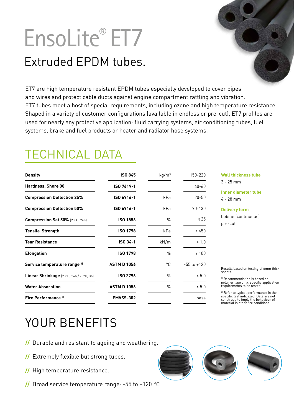## EnsoLite® ET7

### Extruded EPDM tubes.

ET7 are high temperature resistant EPDM tubes especially developed to cover pipes and wires and protect cable ducts against engine compartment rattling and vibration. ET7 tubes meet a host of special requirements, including ozone and high temperature resistance. Shaped in a variety of customer configurations (available in endless or pre-cut), ET7 profiles are used for nearly any protective application: fluid carrying systems, air conditioning tubes, fuel systems, brake and fuel products or heater and radiator hose systems.

### TECHNICAL DATA

| <b>Density</b>                          | <b>ISO 845</b>     | kg/m <sup>3</sup> | 150-220         | <b>Wall thickness tube</b>                                                                                                                                              |  |
|-----------------------------------------|--------------------|-------------------|-----------------|-------------------------------------------------------------------------------------------------------------------------------------------------------------------------|--|
| <b>Hardness, Shore 00</b>               | ISO 7619-1         |                   | $40 - 60$       | $3 - 25$ mm                                                                                                                                                             |  |
| <b>Compression Deflection 25%</b>       | ISO 6916-1         | kPa               | $20 - 50$       | Inner diameter tube<br>$4 - 28$ mm                                                                                                                                      |  |
| <b>Compression Deflection 50%</b>       | ISO 6916-1         | kPa               | 70-130          | <b>Delivery form</b>                                                                                                                                                    |  |
| Compression Set 50% (23°C, 24h)         | <b>ISO 1856</b>    | $\frac{0}{0}$     | $\leq 25$       | bobine (continuous)<br>pre-cut                                                                                                                                          |  |
| <b>Tensile Strength</b>                 | <b>ISO 1798</b>    | kPa               | $\geq 450$      |                                                                                                                                                                         |  |
| <b>Tear Resistance</b>                  | ISO 34-1           | kN/m              | $\geq 1.0$      |                                                                                                                                                                         |  |
| <b>Elongation</b>                       | <b>ISO 1798</b>    | $\frac{0}{0}$     | $\geq 100$      |                                                                                                                                                                         |  |
| Service temperature range <sup>1)</sup> | <b>ASTM D 1056</b> | ۰C                | $-55$ to $+120$ | Results based on testing of 6mm thick                                                                                                                                   |  |
| Linear Shrinkage (23°C, 24h / 70°C, 3h) | <b>ISO 2796</b>    | $\frac{0}{0}$     | $\leq 5.0$      | sheets.<br><sup>1)</sup> Recommendation is based on                                                                                                                     |  |
| <b>Water Absorption</b>                 | <b>ASTM D 1056</b> | $\frac{0}{0}$     | $\leq 5.0$      | polymer type only. Specific application<br>requirements to be tested.                                                                                                   |  |
| Fire Performance <sup>2)</sup>          | <b>FMVSS-302</b>   |                   | pass            | <sup>2)</sup> Refer to typical performance in the<br>specific test indicazed. Data are not<br>construed to imply the behaviour of<br>material in other fire conditions. |  |

#### YOUR BENEFITS

- **//** Durable and resistant to ageing and weathering.
- **//** Extremely flexible but strong tubes.
- **//** High temperature resistance.
- **//** Broad service temperature range: -55 to +120 °C.

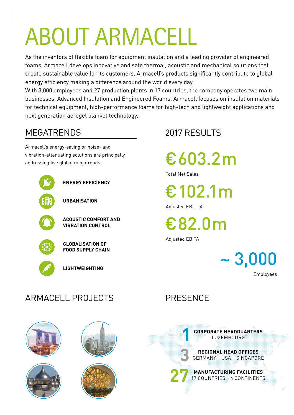## ABOUT ARMACELL

As the inventors of flexible foam for equipment insulation and a leading provider of engineered foams, Armacell develops innovative and safe thermal, acoustic and mechanical solutions that create sustainable value for its customers. Armacell's products significantly contribute to global energy efficiency making a difference around the world every day.

With 3,000 employees and 27 production plants in 17 countries, the company operates two main businesses, Advanced Insulation and Engineered Foams. Armacell focuses on insulation materials for technical equipment, high-performance foams for high-tech and lightweight applications and next generation aerogel blanket technology.

#### MEGATRENDS

Armacell's energy-saving or noise- and vibration-attenuating solutions are principally addressing five global megatrends.



#### 2017 RESULTS

€603.2m

Total Net Sales

€102.1m

Adjusted EBITDA

€82.0m

Adjusted EBITA

Employees

#### ARMACELL PROJECTS PRESENCE











**1**

**3**

**CORPORATE HEADQUARTERS** LUXEMBOURG

**REGIONAL HEAD OFFICES** GERMANY – USA – SINGAPORE

**MANUFACTURING FACILITIES** 17 COUNTRIES – 4 CONTINENTS **27**